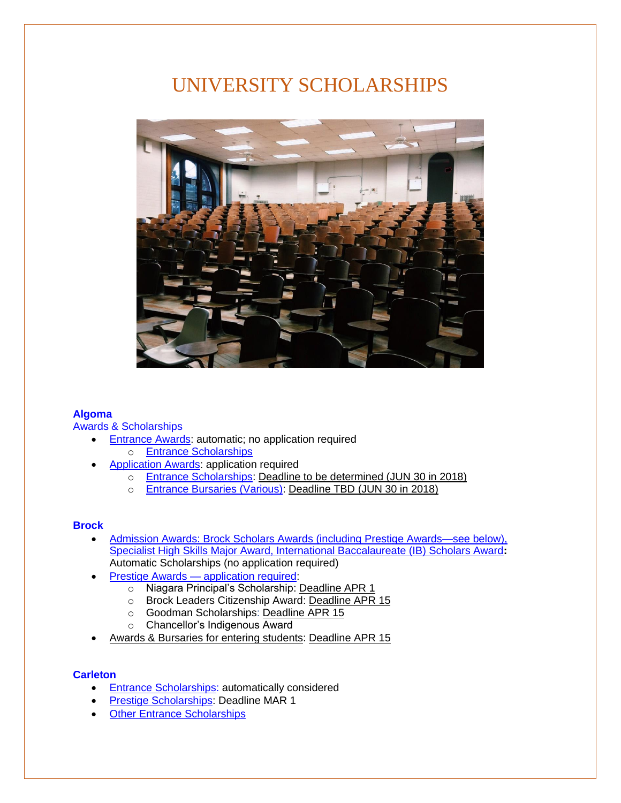# UNIVERSITY SCHOLARSHIPS



#### **[Algoma](https://www.algomau.ca/)**

[Awards & Scholarships](https://www.algomau.ca/students/awards-scholarships/)

- [Entrance](https://www.algomau.ca/students/awards-scholarships/entrance-awards/) Awards: automatic; no application required
	- o [Entrance Scholarships](https://www.algomau.ca/students/awards-scholarships/entrance-awards/entrance-scholarships/)
- [Application Awards:](https://www.algomau.ca/students/awards-scholarships/application-awards/) application required
	- o [Entrance Scholarships:](https://www.algomau.ca/students/awards-scholarships/application-awards/entrance-scholarships/) Deadline to be determined (JUN 30 in 2018)
	- o [Entrance Bursaries](https://www.algomau.ca/students/awards-scholarships/application-awards/entrance-bursaries/) (Various): Deadline TBD (JUN 30 in 2018)

#### **[Brock](https://discover.brocku.ca/)**

- Admission Awards: Brock Scholars Awards [\(including Prestige Awards—see below\),](https://discover.brocku.ca/awards/) [Specialist High Skills Major Award, International Baccalaureate \(IB\) Scholars Award](https://discover.brocku.ca/awards/)**:**  [Automatic Scholarships](https://brocku.ca/safa/awards-and-bursaries/future-students/) (no application required)
- Prestige Awards [application required:](https://brocku.ca/safa/awards-and-bursaries/future-students/)
	- o Niagara Principal's Scholarship: Deadline APR 1
	- o Brock Leaders Citizenship Award: Deadline APR 15
	- o Goodman Scholarships: Deadline APR 15
	- o Chancellor's Indigenous Award
- Awards & Bursaries [for entering students:](https://brocku.ca/safa/awards-and-bursaries/oneapp/) Deadline APR 15

# **[Carleton](https://admissions.carleton.ca/)**

- [Entrance Scholarships:](https://carleton.ca/awards/scholarships/entrance-scholarships-for-new-students/) automatically considered
- [Prestige Scholarships:](https://carleton.ca/awards/scholarships/entrance-scholarships-for-new-students/prestige/) Deadline MAR 1
- Other [Entrance Scholarships](https://carleton.ca/awards/scholarships/entrance-scholarships-for-new-students/other-entrance-scholarships/)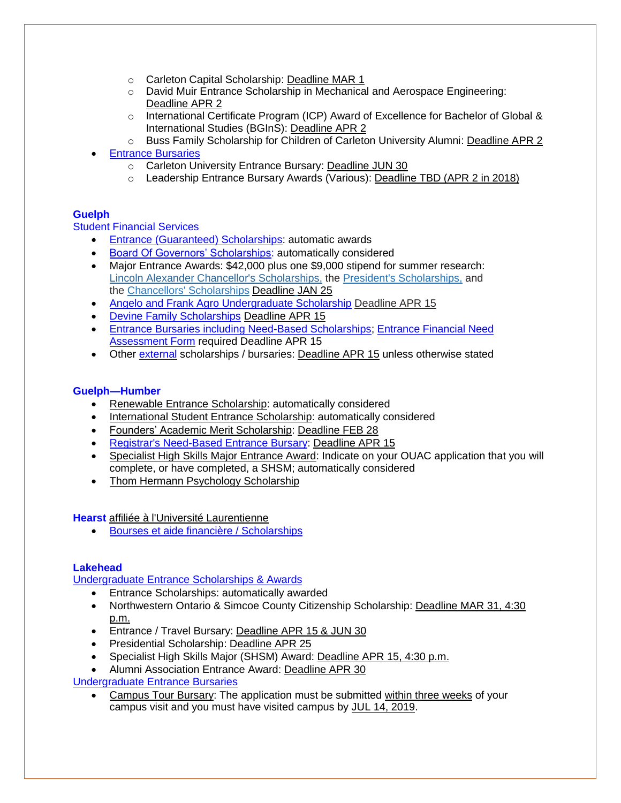- o Carleton Capital Scholarship: Deadline MAR 1
- o David Muir Entrance Scholarship in Mechanical and Aerospace Engineering: Deadline APR 2
- $\circ$  International Certificate Program (ICP) Award of Excellence for Bachelor of Global & International Studies (BGInS): Deadline APR 2
- o Buss Family Scholarship for Children of Carleton University Alumni: Deadline APR 2
- [Entrance Bursaries](https://carleton.ca/awards/bursaries/entrance-bursaries/)
	- o Carleton University Entrance Bursary: Deadline JUN 30
	- o Leadership Entrance Bursary Awards (Various): Deadline TBD (APR 2 in 2018)

# **[Guelph](https://www.uoguelph.ca/)**

[Student Financial Services](https://www.uoguelph.ca/registrar/studentfinance/)

- **Entrance (Guaranteed) [Scholarships:](https://www.uoguelph.ca/registrar/studentfinance/scholarships/grid) automatic awards**
- [Board Of Governors' Scholarships:](https://www.uoguelph.ca/registrar/studentfinance/apps/awards?id=E0317) automatically considered
- Major Entrance Awards: \$42,000 plus one \$9,000 stipend for summer research: [Lincoln Alexander Chancellor's Scholarships,](https://www.uoguelph.ca/registrar/studentfinance/apps/awards?id=E0689) the [President's Scholarships,](https://www.uoguelph.ca/registrar/studentfinance/apps/awards?id=E0238) and the [Chancellors' Scholarships](https://www.uoguelph.ca/registrar/studentfinance/apps/awards?id=E0688) Deadline JAN 25
- [Angelo and Frank Agro Undergraduate Scholarship](https://www.uoguelph.ca/registrar/studentfinance/apps/awards?id=E0520) Deadline APR 15
- [Devine Family Scholarships](https://www.uoguelph.ca/registrar/studentfinance/apps/awards?id=E4542) Deadline APR 15
- [Entrance Bursaries including Need-Based Scholarships;](https://www.uoguelph.ca/registrar/studentfinance/scholarships/entrance_ug) [Entrance Financial Need](https://www.uoguelph.ca/registrar/studentfinance/bursaries/entrance_ug)  [Assessment Form](https://www.uoguelph.ca/registrar/studentfinance/bursaries/entrance_ug) required Deadline APR 15
- Other [external](https://www.uoguelph.ca/registrar/studentfinance/apps/awards?class=Entrance&issued=Fall&category=Scholarship) scholarships / bursaries: Deadline APR 15 unless otherwise stated

# **[Guelph—Humber](https://www.guelphhumber.ca/futurestudents)**

- [Renewable Entrance Scholarship:](https://www.guelphhumber.ca/sfs/renewable-entrance-scholarship) automatically considered
- [International Student Entrance Scholarship:](https://www.guelphhumber.ca/sfs/international-entrance-scholarship) automatically considered
- [Founders' Academic Merit Scholarship:](https://www.guelphhumber.ca/sfs/founders-academic-merit) Deadline FEB 28
- [Registrar's Need-Based Entrance Bursary:](https://www.guelphhumber.ca/sfs/need-based-bursary) Deadline APR 15
- Specialist High Skills [Major Entrance Award:](https://www.guelphhumber.ca/sfs/shsm-entrance-award) Indicate on your OUAC application that you will complete, or have completed, a SHSM; automatically considered
- [Thom Hermann Psychology Scholarship](https://www.guelphhumber.ca/sfs/thom-hermann-psych-scholarship)

**[Hearst](http://www.uhearst.ca/english)** [affiliée à l'Université Laurentienne](http://www.electronicinfo.ca/universities/laurentienne-hearst)

• Bourses et aide financière [/ Scholarships](http://www.uhearst.ca/bourses)

# **[Lakehead](https://www.lakeheadu.ca/future-students)**

[Undergraduate Entrance Scholarships & Awards](https://www.lakeheadu.ca/studentcentral/financing-budgeting/entrance-scholarships-for-future-new-students)

- Entrance Scholarships: automatically awarded
- Northwestern Ontario & Simcoe County Citizenship Scholarship: Deadline MAR 31, 4:30 p.m.
- Entrance / Travel Bursary: Deadline APR 15 & JUN 30
- Presidential Scholarship: Deadline APR 25
- Specialist High Skills Major (SHSM) Award: Deadline APR 15, 4:30 p.m.
- Alumni Association Entrance Award: Deadline APR 30

# [Undergraduate Entrance Bursaries](https://www.lakeheadu.ca/studentcentral/financing-budgeting/entrance-scholarships-for-future-new-students)

• Campus Tour Bursary: The application must be submitted within three weeks of your campus visit and you must have visited campus by JUL 14, 2019.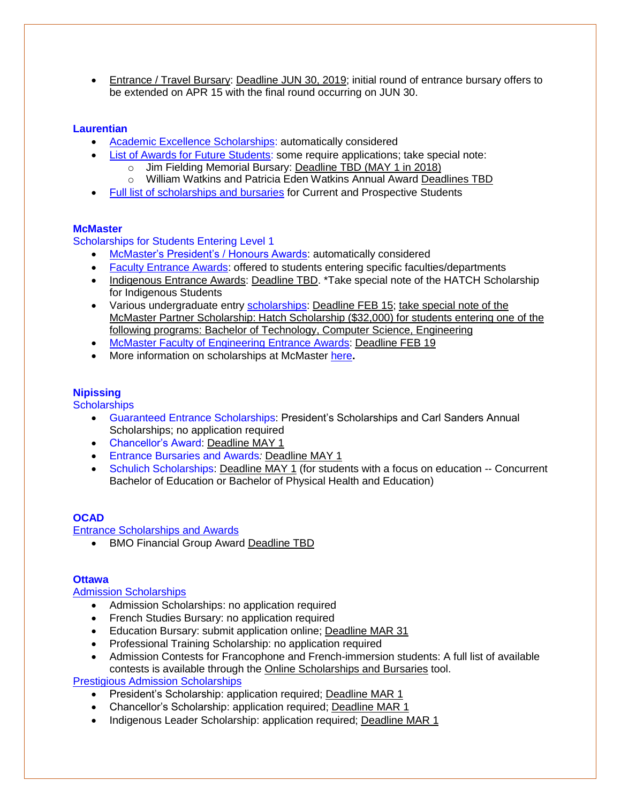• Entrance / Travel Bursary: Deadline JUN 30, 2019; initial round of entrance bursary offers to be extended on APR 15 with the final round occurring on JUN 30.

# **[Laurentian](https://laurentian.ca/admissions/undergraduate/ontario-high-school)**

- [Academic Excellence Scholarships:](https://laurentian.ca/fees-financing/scholarships-bursaries) automatically considered
- [List of Awards for Future Students:](https://laurentian.ca/fees-financing/scholarships-bursaries) some require applications; take special note:
	- o Jim Fielding Memorial Bursary: Deadline TBD (MAY 1 in 2018)
	- o William Watkins and Patricia Eden Watkins Annual Award Deadlines TBD
- [Full list of scholarships and bursaries](https://docs.google.com/document/d/1K2nLFWQny7xxREIiJv188o7XQbaj-bGPUQoIdRebe-w/edit) for Current and Prospective Students

# **[McMaster](https://future.mcmaster.ca/)**

[Scholarships for Students Entering Level 1](https://sfas.mcmaster.ca/scholarships/entrance-scholarships/#Indigenous_Awards)

- [McMaster's President's / Honours Awards:](https://future.mcmaster.ca/money-matters/funding/scholarships/) automatically considered
- [Faculty Entrance Awards:](https://sfas.mcmaster.ca/scholarships/entrance-scholarships/#Mac_Honour_Awards) offered to students entering specific faculties/departments
- [Indigenous Entrance Awards:](https://future.mcmaster.ca/money-matters/funding/scholarships/) Deadline TBD. \*Take special note of the HATCH Scholarship for Indigenous Students
- Various undergraduate entry [scholarships:](https://www.eng.mcmaster.ca/future-students/undergraduate-entrance-scholarships) Deadline FEB 15; take special note of the McMaster Partner Scholarship: Hatch Scholarship (\$32,000) for students entering one of the following programs: Bachelor of Technology, Computer Science, Engineering
- [McMaster Faculty of Engineering Entrance Awards:](https://www.eng.mcmaster.ca/forms/entrance-scholarships-application-form-1) Deadline FEB 19
- More information on scholarships at McMaster [here](https://academiccalendars.romcmaster.ca/content.php?catoid=32&navoid=7840&_ga=2.29946495.1193237530.1547571948-946455055.1545407734#app-open-to-the-faculty-of-humanities)**.**

# **[Nipissing](https://ibelongatnipissingu.ca/)**

**[Scholarships](https://ibelongatnipissingu.ca/scholarships/)** 

- Guaranteed Entrance Scholarships: President's Scholarships and Carl Sanders Annual Scholarships; no application required
- Chancellor's Award: Deadline MAY 1
- Entrance Bursaries and Awards*:* Deadline MAY 1
- Schulich Scholarships: Deadline MAY 1 (for students with a focus on education -- Concurrent Bachelor of Education or Bachelor of Physical Health and Education)

# **[OCAD](https://www.ocadu.ca/admissions)**

[Entrance Scholarships and Awards](https://www.ocadu.ca/services/financial-matters/scholarships-and-awards/entrance-scholarships.htm)

• BMO Financial Group Award Deadline TBD

# **[Ottawa](https://www.uottawa.ca/undergraduate-admissions/)**

Admission [Scholarships](https://www.uottawa.ca/financial-aid-awards/scholarships-and-bursaries)

- Admission Scholarships: no application required
- French Studies Bursary: no application required
- Education Bursary: submit application online; Deadline MAR 31
- Professional Training Scholarship: no application required
- Admission Contests for Francophone and French-immersion students: A full list of available contests is available through the [Online Scholarships and Bursaries](https://scholarships.uottawa.ca/) tool.

[Prestigious Admission Scholarships](https://www.uottawa.ca/financial-aid-awards/scholarships-and-bursaries)

- President's Scholarship: application required; Deadline MAR 1
- Chancellor's Scholarship: application required; Deadline MAR 1
- Indigenous Leader Scholarship: application required; Deadline MAR 1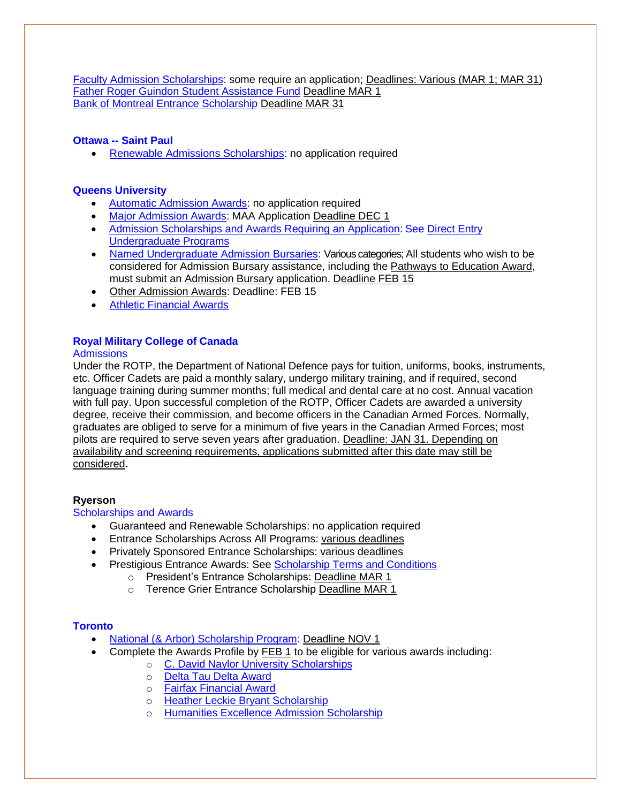[Faculty Admission Scholarships:](https://www.uottawa.ca/financial-aid-awards/scholarships-and-bursaries) some require an application; Deadlines: Various (MAR 1; MAR 31) [Father Roger Guindon Student Assistance Fund](https://scholarships.uottawa.ca/p/a/?q=father&status=&type=&sort=expiring-soon) Deadline MAR 1 [Bank of Montreal Entrance Scholarship](https://scholarships.uottawa.ca/p/a/?q=montreal&status=&type=&sort=alpha) Deadline MAR 31

# **Ottawa -- [Saint Paul](https://ustpaul.ca/index.php?lang=en)**

• [Renewable Admissions Scholarships:](https://ustpaul.ca/en/financial-aid-and-bursaries--admission-scholarships_433_152.htm) no application required

#### **Queens [University](https://www.queensu.ca/admission/)**

- [Automatic Admission Awards:](https://www.queensu.ca/studentawards/award-list/automatic-awards/admission-awards) no application required
- [Major Admission Awards:](https://www.queensu.ca/studentawards/admission-awards/major-admission-awards) MAA Application Deadline DEC 1
- [Admission Scholarships and Awards Requiring an Application:](https://www.queensu.ca/studentawards/award-list/awards-requiring-application/admission-awards) See Direct Entry [Undergraduate Programs](https://www.queensu.ca/studentawards/award-list/awards-requiring-application/admission-awards#directentry)
- [Named Undergraduate Admission Bursaries:](https://www.queensu.ca/studentawards/award-list/named-bursaries/undergraduate-admission-bursaries) Various categories: All students who wish to be considered for Admission Bursary assistance, including the Pathways to Education Award, must submit an [Admission Bursary](https://www.queensu.ca/studentawards/admission-awards/admission-bursary) application. Deadline FEB 15
- [Other Admission Awards:](https://www.queensu.ca/studentawards/admission-awards/other-admission-awards) Deadline: FEB 15
- [Athletic Financial Awards](https://www.queensu.ca/studentawards/financial-aid/specific-student-groups/athletic-financial-awards)

# **[Royal Military College of Canada](https://www.rmc-cmr.ca/en)**

#### **[Admissions](https://www.rmc-cmr.ca/en/registrars-office/welcome-admissions)**

Under the ROTP, the Department of National Defence pays for tuition, uniforms, books, instruments, etc. Officer Cadets are paid a monthly salary, undergo military training, and if required, second language training during summer months; full medical and dental care at no cost. Annual vacation with full pay. Upon successful completion of the ROTP, Officer Cadets are awarded a university degree, receive their commission, and become officers in the Canadian Armed Forces. Normally, graduates are obliged to serve for a minimum of five years in the Canadian Armed Forces; most pilots are required to serve seven years after graduation. Deadline: JAN 31. Depending on availability and screening requirements, applications submitted after this date may still be considered**.**

#### **[Ryerson](https://www.ryerson.ca/)**

# [Scholarships and Awards](https://www.ryerson.ca/admissions/scholarships-awards/)

- Guaranteed and Renewable Scholarships: no application required
- Entrance Scholarships Across All Programs: various deadlines
- Privately Sponsored Entrance Scholarships: various deadlines
- Prestigious Entrance Awards: See [Scholarship Terms and Conditions](https://www.ryerson.ca/content/dam/admissions/undergraduate/scholarships/Terms_and_Conditions_F2019.pdf)
	- o President's Entrance Scholarships: Deadline MAR 1
	- o Terence Grier Entrance Scholarship Deadline MAR 1

# **[Toronto](http://www.future.utoronto.ca/)**

- [National \(& Arbor\) Scholarship Program:](http://www.future.utoronto.ca/content/national-scholarship-program) Deadline NOV 1
- Complete the Awards Profile by FEB 1 to be eligible for various awards including:
	- o [C. David Naylor University Scholarships](http://www.future.utoronto.ca/content/c-david-naylor-university-scholarships)
		- o [Delta Tau Delta Award](http://www.future.utoronto.ca/content/delta-tau-delta-award)
		- o [Fairfax Financial Award](http://www.future.utoronto.ca/content/fairfax-financial-award)
		- o [Heather Leckie Bryant Scholarship](http://www.future.utoronto.ca/content/heather-leckie-bryant-scholarship)
		- [Humanities Excellence Admission Scholarship](http://www.future.utoronto.ca/content/humanities-excellence-admission-scholarship)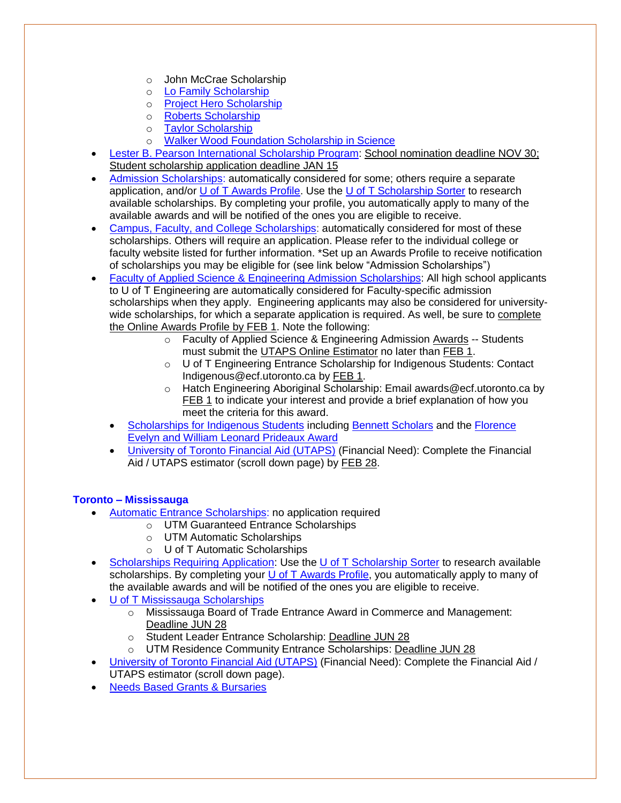- o [John McCrae Scholarship](http://www.future.utoronto.ca/content/john-mccrae-scholarship)
- o [Lo Family Scholarship](http://www.future.utoronto.ca/content/lo-family-scholarship)
- o [Project Hero Scholarship](http://www.future.utoronto.ca/content/project-hero-scholarship)
- o [Roberts Scholarship](http://www.future.utoronto.ca/content/roberts-scholarship)
- o [Taylor Scholarship](http://www.future.utoronto.ca/content/taylor-scholarship)
- o [Walker Wood Foundation Scholarship in Science](http://www.future.utoronto.ca/content/walker-wood-foundation-scholarship-science)
- [Lester B. Pearson International Scholarship](http://www.future.utoronto.ca/content/lester-b-pearson-international-scholarship-program) Program: School nomination deadline NOV 30; Student scholarship application deadline JAN 15
- [Admission Scholarships:](http://www.future.utoronto.ca/finances/scholarships) automatically considered for some; others require a separate application, and/or [U of T Awards Profile.](https://join.utoronto.ca/) Use the [U of T Scholarship Sorter](http://future.utoronto.ca/finances/scholarships#scholarship_sorter) to research available scholarships. By completing your profile, you automatically apply to many of the available awards and will be notified of the ones you are eligible to receive.
- [Campus, Faculty, and College Scholarships:](http://future.utoronto.ca/finances/scholarships#campus-scholarships) automatically considered for most of these scholarships. Others will require an application. Please refer to the individual college or faculty website listed for further information. \*Set up an Awards Profile to receive notification of scholarships you may be eligible for (see link below "Admission Scholarships")
- [Faculty of Applied Science & Engineering](https://discover.engineering.utoronto.ca/money/scholarships/) Admission Scholarships: All high school applicants to U of T Engineering are automatically considered for Faculty-specific admission scholarships when they apply. Engineering applicants may also be considered for universitywide scholarships, for which a separate application is required. As well, be sure to complete the Online Awards Profile by FEB 1. Note the following:
	- o Faculty of Applied Science & Engineering Admission Awards -- Students must submit the [UTAPS Online Estimator](http://www.future.utoronto.ca/finances/financial-aid/university-toronto-advance-planning-students-utaps) no later than FEB 1.
	- o U of T Engineering Entrance Scholarship for Indigenous Students: Contact [Indigenous@ecf.utoronto.ca](mailto:Indigenous@ecf.utoronto.ca) by FEB 1.
	- o Hatch Engineering Aboriginal Scholarship: Email [awards@ecf.utoronto.ca](mailto:awards@ecf.utoronto.ca) by FEB 1 to indicate your interest and provide a brief explanation of how you meet the criteria for this award.
	- [Scholarships for Indigenous Students](https://www.studentlife.utoronto.ca/fnh/financial-assistance#node-2168) including [Bennett Scholars](http://www.future.utoronto.ca/content/bennett-scholars) and the Florence [Evelyn and William Leonard Prideaux Award](http://www.future.utoronto.ca/content/florence-evelyn-and-william-leonard-prideaux-award)
	- [University of Toronto Financial Aid \(UTAPS\)](http://www.future.utoronto.ca/finances/financial-aid) (Financial Need): Complete the Financial Aid / UTAPS estimator (scroll down page) by FEB 28.

# **Toronto – [Mississauga](https://www.utm.utoronto.ca/future-students/)**

- [Automatic Entrance Scholarships: no application required](https://www.utm.utoronto.ca/future-students/finances/automatic-entrance-scholarships)
	- o UTM Guaranteed Entrance Scholarships
	- o UTM Automatic Scholarships
	- o U of T Automatic Scholarships
- [Scholarships Requiring Application:](https://www.utm.utoronto.ca/future-students/finances/scholarships-requiring-application) Use the [U of T Scholarship Sorter](http://future.utoronto.ca/finances/scholarships#scholarship_sorter) to research available scholarships. By completing your [U of T Awards Profile,](https://join.utoronto.ca/) you automatically apply to many of the available awards and will be notified of the ones you are eligible to receive.
- [U of T Mississauga Scholarships](https://www.utm.utoronto.ca/future-students/finances/scholarships-requiring-application)
	- o Mississauga Board of Trade Entrance Award in Commerce and Management: Deadline JUN 28
	- o Student Leader Entrance Scholarship: Deadline JUN 28
	- o UTM Residence Community Entrance Scholarships: Deadline JUN 28
- [University of Toronto Financial Aid \(UTAPS\)](http://www.future.utoronto.ca/finances/financial-aid) (Financial Need): Complete the Financial Aid / UTAPS estimator (scroll down page).
- [Needs Based Grants & Bursaries](https://www.utm.utoronto.ca/registrar/financial-aid-awards/grants-bursaries)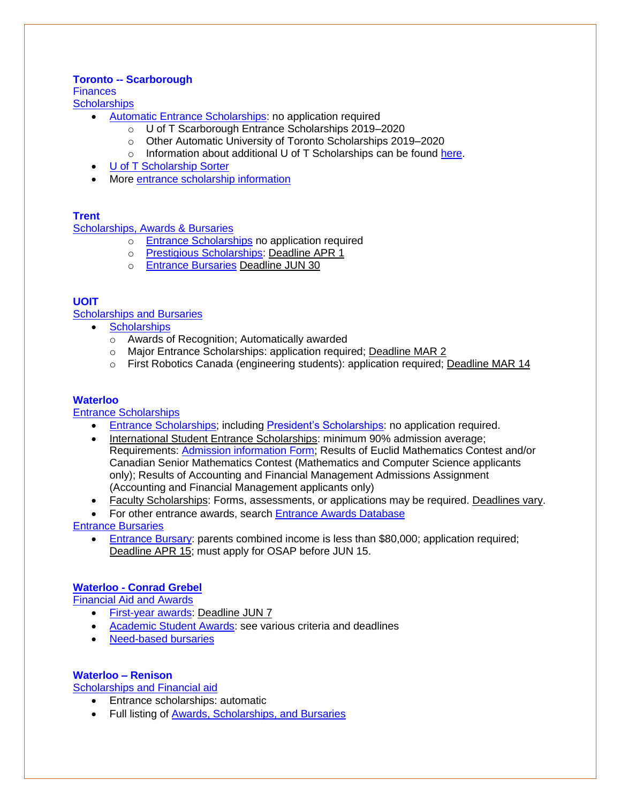# **Toronto -- [Scarborough](https://www.utsc.utoronto.ca/admissions/)**

**[Finances](https://www.utsc.utoronto.ca/admissions/finances)** 

- **[Scholarships](https://www.utsc.utoronto.ca/admissions/scholarships)** 
	- [Automatic Entrance Scholarships:](https://www.utsc.utoronto.ca/admissions/automatic-entrance-scholarships) no application required
		- o U of T Scarborough Entrance Scholarships 2019–2020
		- o Other Automatic University of Toronto Scholarships 2019–2020
		- o Information about additional U of T Scholarships can be found [here.](http://www.future.utoronto.ca/finances/scholarships)
	- [U of T Scholarship Sorter](https://www.utsc.utoronto.ca/admissions/u-t-scholarship-sorter)
	- More [entrance scholarship information](https://www.utsc.utoronto.ca/admissions/scholarship-eligibility-and-conditions)

# **[Trent](https://www.trentu.ca/futurestudents/undergraduate)**

[Scholarships, Awards & Bursaries](https://www.trentu.ca/studentfinances/scholarships-awards-bursaries)

- o [Entrance Scholarships](https://www.trentu.ca/studentfinances/scholarships-awards-bursaries/entrance-scholarships) no application required
- o [Prestigious Scholarships:](https://www.trentu.ca/futurestudents/undergraduate/tuition-awards/awards/prestigious-scholarships) Deadline APR 1
- o [Entrance Bursaries](https://www.trentu.ca/studentfinances/scholarships-awards-bursaries/entrance-bursaries) Deadline JUN 30

# **[UOIT](https://uoit.ca/future-students/index.php)**

[Scholarships and Bursaries](https://safa.uoit.ca/scholarships-and-bursaries/index.php)

- [Scholarships](https://safa.uoit.ca/scholarships-and-bursaries/scholarships/index.php)
	- o Awards of Recognition; Automatically awarded
	- o Major Entrance Scholarships: application required; Deadline MAR 2
	- o First Robotics Canada (engineering students): application required; Deadline MAR 14

# **[Waterloo](https://uwaterloo.ca/)**

[Entrance Scholarships](https://uwaterloo.ca/future-students/financing/scholarships)

- Entrance Scholarships; including President's Scholarships: no application required.
- International Student Entrance Scholarships: minimum 90% admission average; Requirements: [Admission information Form;](https://uwaterloo.ca/future-students/admissions/admission-information-form) Results of Euclid Mathematics Contest and/or Canadian Senior Mathematics Contest (Mathematics and Computer Science applicants only); Results of Accounting and Financial Management Admissions Assignment (Accounting and Financial Management applicants only)
- Faculty Scholarships: Forms, assessments, or applications may be required. Deadlines vary.
- For other entrance awards, search Entrance [Awards Database](https://uwaterloo.ca/undergraduate-entrance-awards/awards/database)

[Entrance Bursaries](https://uwaterloo.ca/future-students/financing/bursaries)

• [Entrance Bursary:](https://uwaterloo.ca/student-awards-financial-aid/waterloo-bursaries/entrance-bursary) parents combined income is less than \$80,000; application required; Deadline APR 15; must apply for OSAP before JUN 15.

# **Waterloo - [Conrad Grebel](https://uwaterloo.ca/grebel/future-students)**

[Financial Aid and Awards](https://uwaterloo.ca/grebel/financial-aid-and-awards)

- [First-year awards:](https://uwaterloo.ca/grebel/financial-aid-and-awards/entrance-awards-first-year-residents-and-campus-residents) Deadline JUN 7
- [Academic Student Awards:](https://uwaterloo.ca/grebel/financial-aid-and-awards/academic-student-awards) see various criteria and deadlines
- [Need-based bursaries](https://uwaterloo.ca/grebel/financial-aid-and-awards/need-based-bursaries)

# **[Waterloo –](https://uwaterloo.ca/renison/future-students) Renison**

[Scholarships and Financial aid](https://uwaterloo.ca/renison/future-students/financing)

- Entrance scholarships: automatic
- Full listing of [Awards, Scholarships, and Bursaries](https://uwaterloo.ca/renison/current-students/tuition-financial-aid/full-listing-awards-scholarships-bursaries)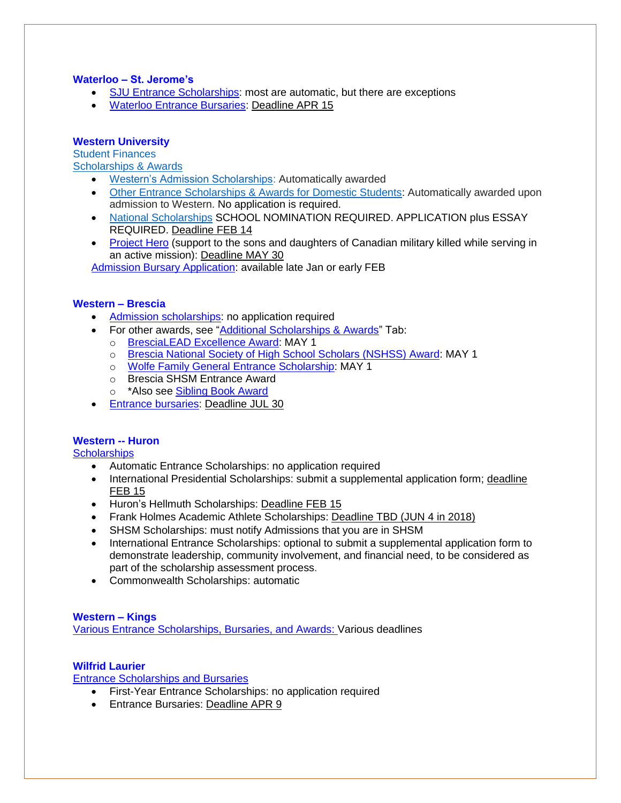# **Waterloo – [St. Jerome's](https://www.sju.ca/futurestudents)**

- [SJU Entrance Scholarships:](https://www.sju.ca/feesfinancing) most are automatic, but there are exceptions
- [Waterloo Entrance Bursaries:](https://uwaterloo.ca/future-students/financing/bursaries) Deadline APR 15

# **[Western University](http://welcome.uwo.ca/)**

[Student Finances](http://www.registrar.uwo.ca/student_finances/index.html) [Scholarships & Awards](http://www.registrar.uwo.ca/student_finances/scholarships_awards/index.html)

- [Western's Admission Scholarships:](http://www.registrar.uwo.ca/student_finances/scholarships_awards/admission_scholarship_program.html) Automatically awarded
- [Other Entrance Scholarships & Awards for Domestic Students:](http://www.registrar.uwo.ca/student_finances/scholarships_awards/admission_scholarship_program.html) Automatically awarded upon admission to Western. No application is required.
- [National Scholarships](http://www.registrar.uwo.ca/student_finances/scholarships_awards/national_scholarship_program.html) SCHOOL NOMINATION REQUIRED. APPLICATION plus ESSAY REQUIRED. Deadline FEB 14
- [Project Hero](http://www.registrar.uwo.ca/student_finances/scholarships_awards/index.html) (support to the sons and daughters of Canadian military killed while serving in an active mission): Deadline MAY 30

[Admission Bursary Application:](http://www.registrar.uwo.ca/student_finances/bursaries.html) available late Jan or early FEB

# **[Western –](http://brescia.uwo.ca/admissions/) Brescia**

- [Admission scholarships:](http://brescia.uwo.ca/tuition/scholarships/admission-scholarships/) no application required
- For other awards, see ["Additional Scholarships & Awards"](http://brescia.uwo.ca/tuition/scholarships/admission-scholarships/) Tab:
	- o [BresciaLEAD Excellence Award:](http://brescia.uwo.ca/tuition/scholarships/admission-scholarships/) MAY 1
	- o [Brescia National Society of High School Scholars \(NSHSS\) Award:](http://brescia.uwo.ca/tuition/scholarships/admission-scholarships/) MAY 1
	- o [Wolfe Family General Entrance Scholarship:](http://brescia.uwo.ca/tuition/scholarships/admission-scholarships/) MAY 1
	- o Brescia SHSM Entrance Award
	- o \*Also see [Sibling Book Award](http://brescia.uwo.ca/tuition/scholarships/admission-scholarships/)
- **[Entrance bursaries:](http://brescia.uwo.ca/tuition/financial-aid/bursaries/) Deadline JUL 30**

# **[Western --](https://huronuc.ca/) Huron**

**[Scholarships](https://huronuc.ca/scholarships-bursaries-grants)** 

- Automatic Entrance Scholarships: no application required
- International Presidential Scholarships: submit a supplemental application form; deadline FEB 15
- Huron's Hellmuth Scholarships: Deadline FEB 15
- Frank Holmes Academic Athlete Scholarships: Deadline TBD (JUN 4 in 2018)
- SHSM Scholarships: must notify Admissions that you are in SHSM
- International Entrance Scholarships: optional to submit a supplemental application form to demonstrate leadership, community involvement, and financial need, to be considered as part of the scholarship assessment process.
- Commonwealth Scholarships: automatic

# **[Western –](https://www.kings.uwo.ca/future-students/) Kings**

[Various Entrance Scholarships, Bursaries, and Awards:](https://www.kings.uwo.ca/future-students/money-matters/funding/entrance-scholarships/) Various deadlines

# **[Wilfrid Laurier](https://www.wlu.ca/future-students/index.html)**

[Entrance Scholarships and Bursaries](https://www.wlu.ca/admissions-toolkits/undergraduate/step-2-youve-applied-now-what/entrance-scholarships-and-bursaries.html)

- First-Year Entrance Scholarships: no application required
- Entrance Bursaries: Deadline APR 9